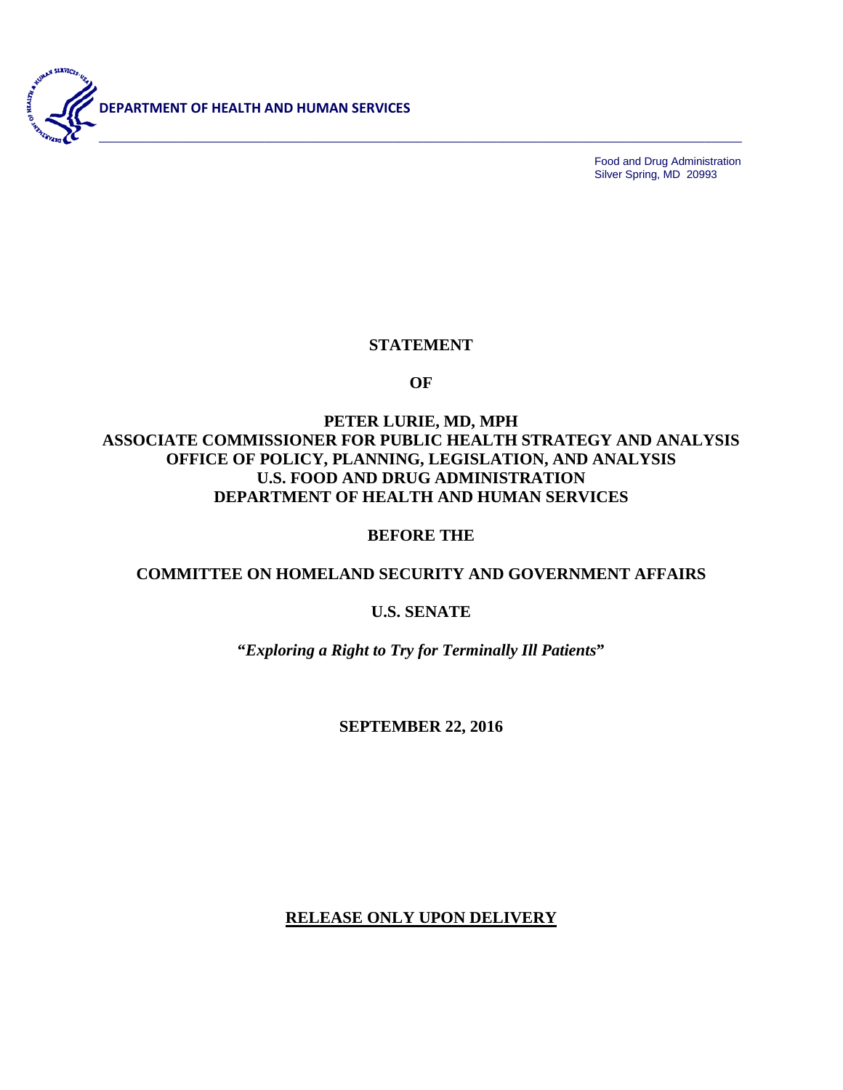

Food and Drug Administration Silver Spring, MD 20993

# **STATEMENT**

**OF**

# **PETER LURIE, MD, MPH ASSOCIATE COMMISSIONER FOR PUBLIC HEALTH STRATEGY AND ANALYSIS OFFICE OF POLICY, PLANNING, LEGISLATION, AND ANALYSIS U.S. FOOD AND DRUG ADMINISTRATION DEPARTMENT OF HEALTH AND HUMAN SERVICES**

#### **BEFORE THE**

### **COMMITTEE ON HOMELAND SECURITY AND GOVERNMENT AFFAIRS**

#### **U.S. SENATE**

**"***Exploring a Right to Try for Terminally Ill Patients***"**

**SEPTEMBER 22, 2016**

**RELEASE ONLY UPON DELIVERY**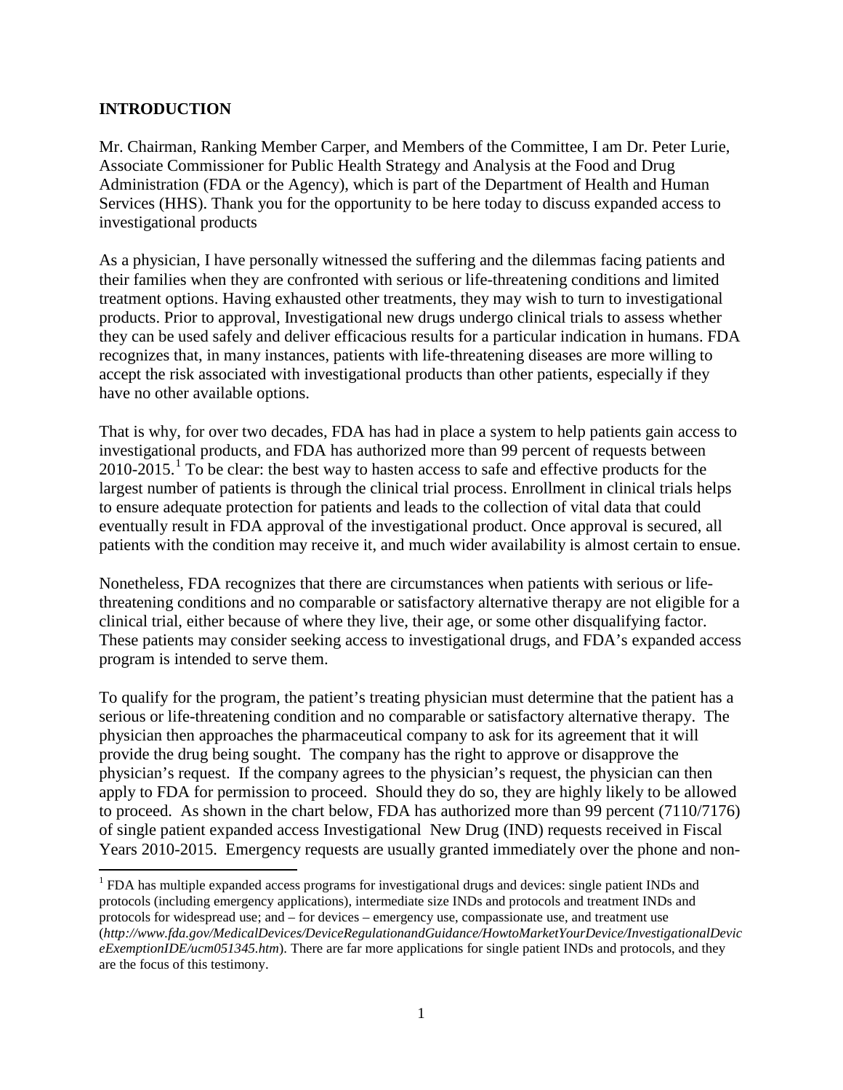## **INTRODUCTION**

Mr. Chairman, Ranking Member Carper, and Members of the Committee, I am Dr. Peter Lurie, Associate Commissioner for Public Health Strategy and Analysis at the Food and Drug Administration (FDA or the Agency), which is part of the Department of Health and Human Services (HHS). Thank you for the opportunity to be here today to discuss expanded access to investigational products

As a physician, I have personally witnessed the suffering and the dilemmas facing patients and their families when they are confronted with serious or life-threatening conditions and limited treatment options. Having exhausted other treatments, they may wish to turn to investigational products. Prior to approval, Investigational new drugs undergo clinical trials to assess whether they can be used safely and deliver efficacious results for a particular indication in humans. FDA recognizes that, in many instances, patients with life-threatening diseases are more willing to accept the risk associated with investigational products than other patients, especially if they have no other available options.

That is why, for over two decades, FDA has had in place a system to help patients gain access to investigational products, and FDA has authorized more than 99 percent of requests between  $2010-2015$  $2010-2015$  $2010-2015$ .<sup>1</sup> To be clear: the best way to hasten access to safe and effective products for the largest number of patients is through the clinical trial process. Enrollment in clinical trials helps to ensure adequate protection for patients and leads to the collection of vital data that could eventually result in FDA approval of the investigational product. Once approval is secured, all patients with the condition may receive it, and much wider availability is almost certain to ensue.

Nonetheless, FDA recognizes that there are circumstances when patients with serious or lifethreatening conditions and no comparable or satisfactory alternative therapy are not eligible for a clinical trial, either because of where they live, their age, or some other disqualifying factor. These patients may consider seeking access to investigational drugs, and FDA's expanded access program is intended to serve them.

To qualify for the program, the patient's treating physician must determine that the patient has a serious or life-threatening condition and no comparable or satisfactory alternative therapy. The physician then approaches the pharmaceutical company to ask for its agreement that it will provide the drug being sought. The company has the right to approve or disapprove the physician's request. If the company agrees to the physician's request, the physician can then apply to FDA for permission to proceed. Should they do so, they are highly likely to be allowed to proceed. As shown in the chart below, FDA has authorized more than 99 percent (7110/7176) of single patient expanded access Investigational New Drug (IND) requests received in Fiscal Years 2010-2015. Emergency requests are usually granted immediately over the phone and non-

<span id="page-1-0"></span><sup>&</sup>lt;sup>1</sup> FDA has multiple expanded access programs for investigational drugs and devices: single patient INDs and protocols (including emergency applications), intermediate size INDs and protocols and treatment INDs and protocols for widespread use; and – for devices – emergency use, compassionate use, and treatment use (*http://www.fda.gov/MedicalDevices/DeviceRegulationandGuidance/HowtoMarketYourDevice/InvestigationalDevic eExemptionIDE/ucm051345.htm*). There are far more applications for single patient INDs and protocols, and they are the focus of this testimony.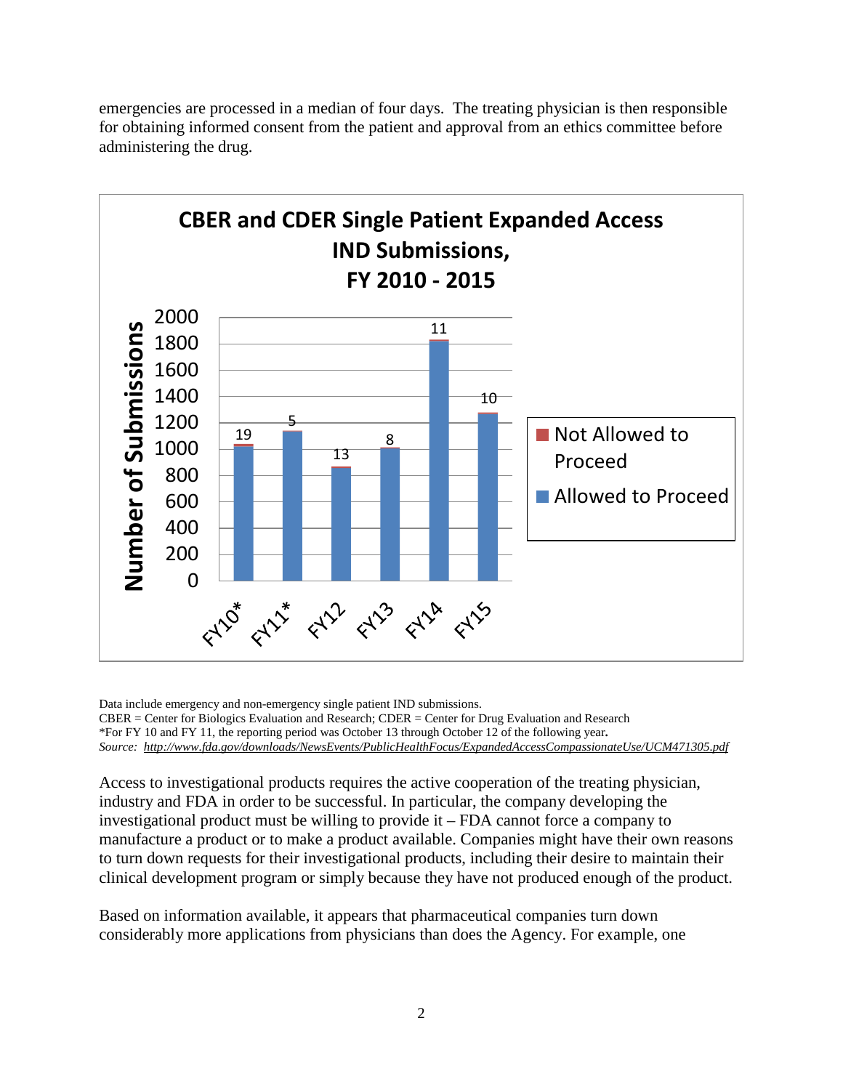

emergencies are processed in a median of four days. The treating physician is then responsible for obtaining informed consent from the patient and approval from an ethics committee before administering the drug.

Data include emergency and non-emergency single patient IND submissions.

CBER = Center for Biologics Evaluation and Research; CDER = Center for Drug Evaluation and Research \*For FY 10 and FY 11, the reporting period was October 13 through October 12 of the following year**.** *Source:<http://www.fda.gov/downloads/NewsEvents/PublicHealthFocus/ExpandedAccessCompassionateUse/UCM471305.pdf>*

Access to investigational products requires the active cooperation of the treating physician, industry and FDA in order to be successful. In particular, the company developing the investigational product must be willing to provide it – FDA cannot force a company to manufacture a product or to make a product available. Companies might have their own reasons to turn down requests for their investigational products, including their desire to maintain their clinical development program or simply because they have not produced enough of the product.

Based on information available, it appears that pharmaceutical companies turn down considerably more applications from physicians than does the Agency. For example, one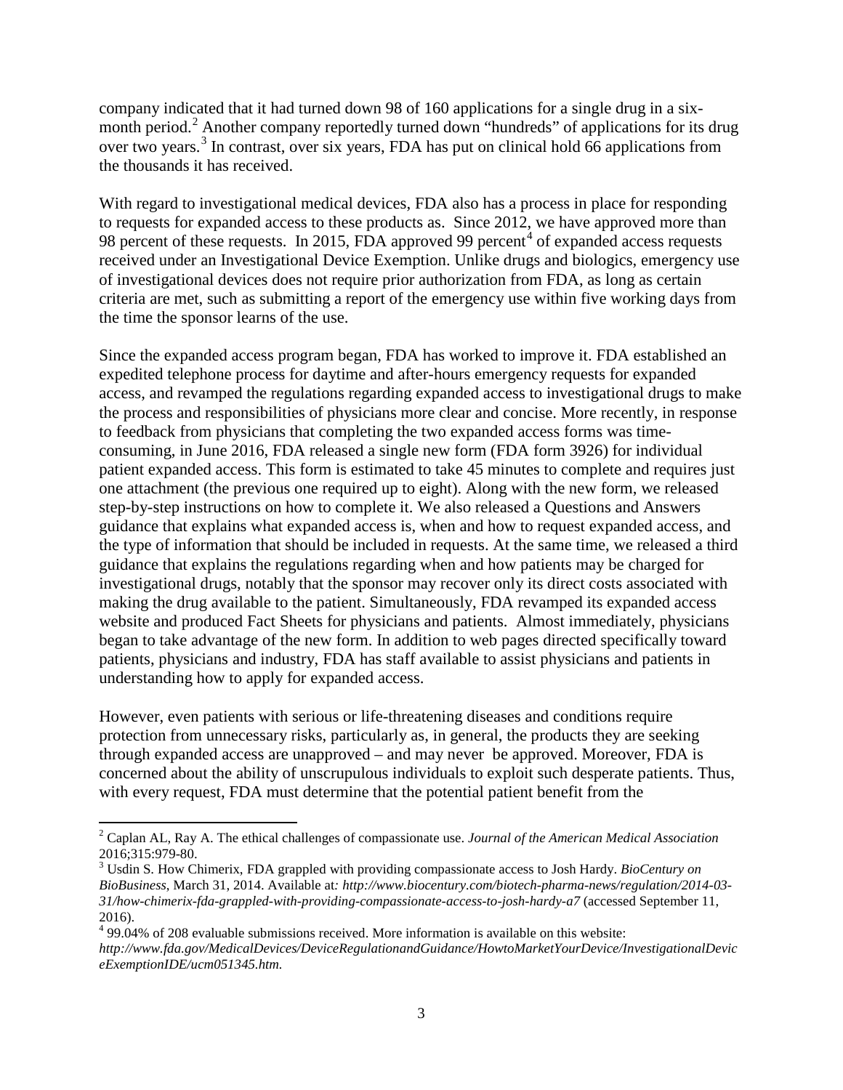company indicated that it had turned down 98 of 160 applications for a single drug in a six-month period.<sup>[2](#page-3-0)</sup> Another company reportedly turned down "hundreds" of applications for its drug over two years.<sup>[3](#page-3-1)</sup> In contrast, over six years, FDA has put on clinical hold 66 applications from the thousands it has received.

With regard to investigational medical devices, FDA also has a process in place for responding to requests for expanded access to these products as. Since 2012, we have approved more than 98 percent of these requests. In 2015, FDA approved 99 percent<sup>[4](#page-3-2)</sup> of expanded access requests received under an Investigational Device Exemption. Unlike drugs and biologics, emergency use of investigational devices does not require prior authorization from FDA, as long as certain criteria are met, such as submitting a report of the emergency use within five working days from the time the sponsor learns of the use.

Since the expanded access program began, FDA has worked to improve it. FDA established an expedited telephone process for daytime and after-hours emergency requests for expanded access, and revamped the regulations regarding expanded access to investigational drugs to make the process and responsibilities of physicians more clear and concise. More recently, in response to feedback from physicians that completing the two expanded access forms was timeconsuming, in June 2016, FDA released a single new form (FDA form 3926) for individual patient expanded access. This form is estimated to take 45 minutes to complete and requires just one attachment (the previous one required up to eight). Along with the new form, we released step-by-step instructions on how to complete it. We also released a Questions and Answers guidance that explains what expanded access is, when and how to request expanded access, and the type of information that should be included in requests. At the same time, we released a third guidance that explains the regulations regarding when and how patients may be charged for investigational drugs, notably that the sponsor may recover only its direct costs associated with making the drug available to the patient. Simultaneously, FDA revamped its expanded access website and produced Fact Sheets for physicians and patients. Almost immediately, physicians began to take advantage of the new form. In addition to web pages directed specifically toward patients, physicians and industry, FDA has staff available to assist physicians and patients in understanding how to apply for expanded access.

However, even patients with serious or life-threatening diseases and conditions require protection from unnecessary risks, particularly as, in general, the products they are seeking through expanded access are unapproved – and may never be approved. Moreover, FDA is concerned about the ability of unscrupulous individuals to exploit such desperate patients. Thus, with every request, FDA must determine that the potential patient benefit from the

<span id="page-3-0"></span><sup>2</sup> Caplan AL, Ray A. The ethical challenges of compassionate use. *Journal of the American Medical Association* 2016;315:979-80. <sup>3</sup> Usdin S. How Chimerix, FDA grappled with providing compassionate access to Josh Hardy. *BioCentury on* 

<span id="page-3-1"></span>*BioBusiness*, March 31, 2014. Available at*: http://www.biocentury.com/biotech-pharma-news/regulation/2014-03- 31/how-chimerix-fda-grappled-with-providing-compassionate-access-to-josh-hardy-a7* (accessed September 11, 2016).

<span id="page-3-2"></span> $499.04\%$  of 208 evaluable submissions received. More information is available on this website: *http://www.fda.gov/MedicalDevices/DeviceRegulationandGuidance/HowtoMarketYourDevice/InvestigationalDevic eExemptionIDE/ucm051345.htm.*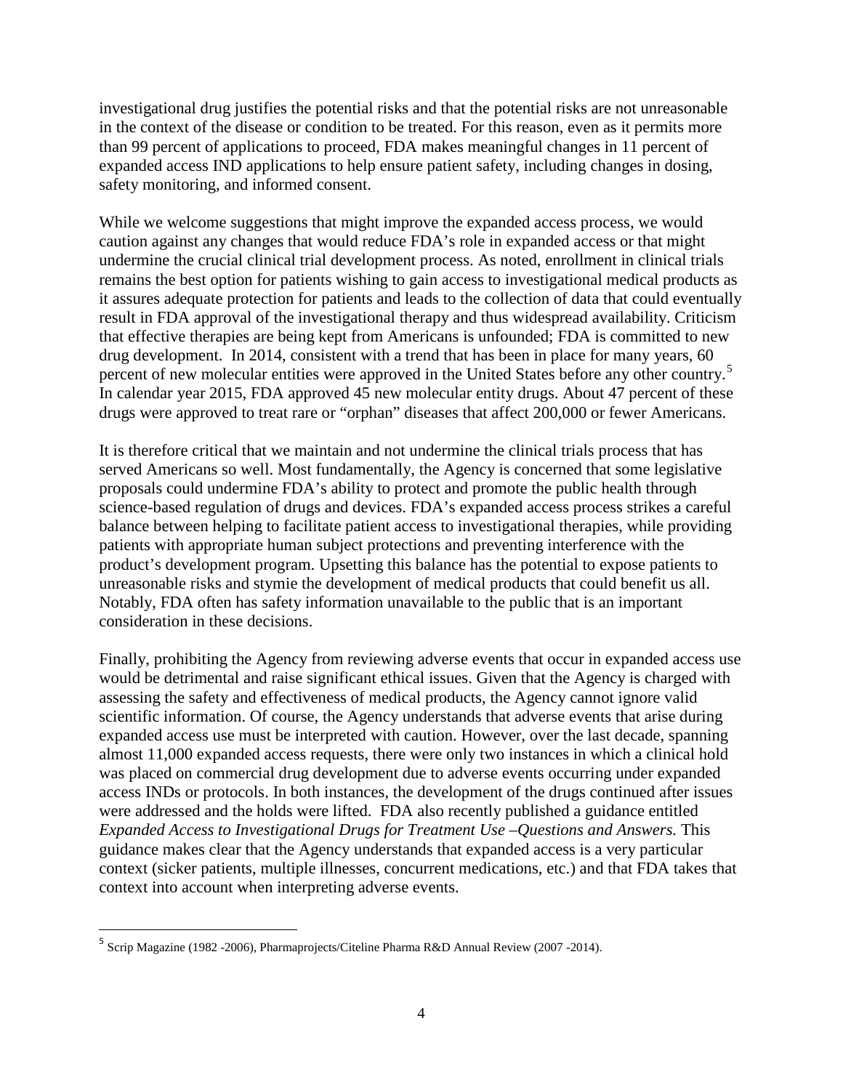investigational drug justifies the potential risks and that the potential risks are not unreasonable in the context of the disease or condition to be treated. For this reason, even as it permits more than 99 percent of applications to proceed, FDA makes meaningful changes in 11 percent of expanded access IND applications to help ensure patient safety, including changes in dosing, safety monitoring, and informed consent.

While we welcome suggestions that might improve the expanded access process, we would caution against any changes that would reduce FDA's role in expanded access or that might undermine the crucial clinical trial development process. As noted, enrollment in clinical trials remains the best option for patients wishing to gain access to investigational medical products as it assures adequate protection for patients and leads to the collection of data that could eventually result in FDA approval of the investigational therapy and thus widespread availability. Criticism that effective therapies are being kept from Americans is unfounded; FDA is committed to new drug development. In 2014, consistent with a trend that has been in place for many years, 60 percent of new molecular entities were approved in the United States before any other country.<sup>[5](#page-4-0)</sup> In calendar year 2015, FDA approved 45 new molecular entity drugs. About 47 percent of these drugs were approved to treat rare or "orphan" diseases that affect 200,000 or fewer Americans.

It is therefore critical that we maintain and not undermine the clinical trials process that has served Americans so well. Most fundamentally, the Agency is concerned that some legislative proposals could undermine FDA's ability to protect and promote the public health through science-based regulation of drugs and devices. FDA's expanded access process strikes a careful balance between helping to facilitate patient access to investigational therapies, while providing patients with appropriate human subject protections and preventing interference with the product's development program. Upsetting this balance has the potential to expose patients to unreasonable risks and stymie the development of medical products that could benefit us all. Notably, FDA often has safety information unavailable to the public that is an important consideration in these decisions.

Finally, prohibiting the Agency from reviewing adverse events that occur in expanded access use would be detrimental and raise significant ethical issues. Given that the Agency is charged with assessing the safety and effectiveness of medical products, the Agency cannot ignore valid scientific information. Of course, the Agency understands that adverse events that arise during expanded access use must be interpreted with caution. However, over the last decade, spanning almost 11,000 expanded access requests, there were only two instances in which a clinical hold was placed on commercial drug development due to adverse events occurring under expanded access INDs or protocols. In both instances, the development of the drugs continued after issues were addressed and the holds were lifted. FDA also recently published a guidance entitled *Expanded Access to Investigational Drugs for Treatment Use –Questions and Answers.* This guidance makes clear that the Agency understands that expanded access is a very particular context (sicker patients, multiple illnesses, concurrent medications, etc.) and that FDA takes that context into account when interpreting adverse events.

<span id="page-4-0"></span> <sup>5</sup> Scrip Magazine (1982 -2006), Pharmaprojects/Citeline Pharma R&D Annual Review (2007 -2014).